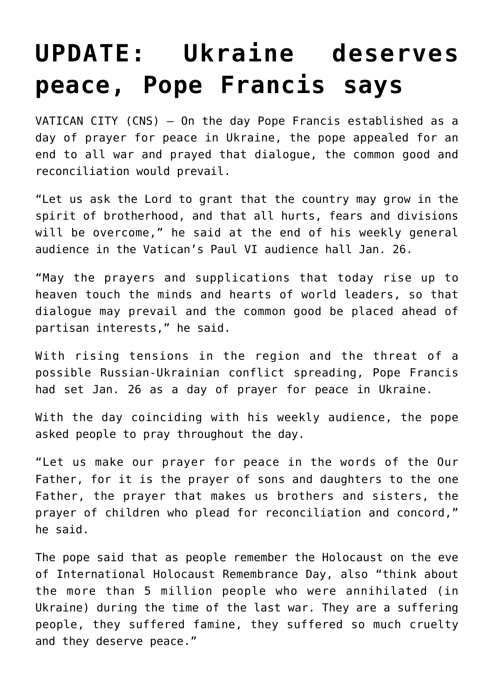## **[UPDATE: Ukraine deserves](https://www.osvnews.com/2022/01/26/ukraine-deserves-peace-pope-francis-says/) [peace, Pope Francis says](https://www.osvnews.com/2022/01/26/ukraine-deserves-peace-pope-francis-says/)**

VATICAN CITY (CNS) — On the day Pope Francis established as a day of prayer for peace in Ukraine, the pope appealed for an end to all war and prayed that dialogue, the common good and reconciliation would prevail.

"Let us ask the Lord to grant that the country may grow in the spirit of brotherhood, and that all hurts, fears and divisions will be overcome," he said at the end of his weekly general audience in the Vatican's Paul VI audience hall Jan. 26.

"May the prayers and supplications that today rise up to heaven touch the minds and hearts of world leaders, so that dialogue may prevail and the common good be placed ahead of partisan interests," he said.

With rising tensions in the region and the threat of a possible Russian-Ukrainian conflict spreading, Pope Francis had set Jan. 26 as a day of prayer for peace in Ukraine.

With the day coinciding with his weekly audience, the pope asked people to pray throughout the day.

"Let us make our prayer for peace in the words of the Our Father, for it is the prayer of sons and daughters to the one Father, the prayer that makes us brothers and sisters, the prayer of children who plead for reconciliation and concord," he said.

The pope said that as people remember the Holocaust on the eve of International Holocaust Remembrance Day, also "think about the more than 5 million people who were annihilated (in Ukraine) during the time of the last war. They are a suffering people, they suffered famine, they suffered so much cruelty and they deserve peace."